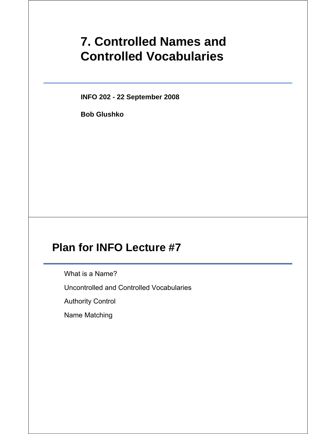# **7. Controlled Names and Controlled Vocabularies**

**INFO 202 - 22 September 2008**

**Bob Glushko**

# **Plan for INFO Lecture #7**

What is a Name?

Uncontrolled and Controlled Vocabularies

Authority Control

Name Matching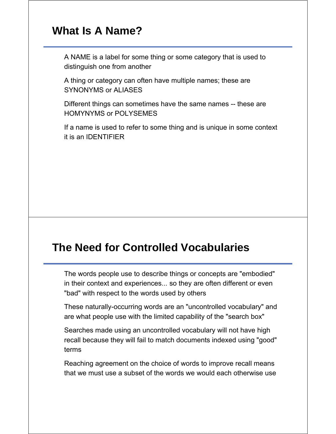## **What Is A Name?**

A NAME is a label for some thing or some category that is used to distinguish one from another

A thing or category can often have multiple names; these are SYNONYMS or ALIASES

Different things can sometimes have the same names -- these are HOMYNYMS or POLYSEMES

If a name is used to refer to some thing and is unique in some context it is an IDENTIFIER

## **The Need for Controlled Vocabularies**

The words people use to describe things or concepts are "embodied" in their context and experiences... so they are often different or even "bad" with respect to the words used by others

These naturally-occurring words are an "uncontrolled vocabulary" and are what people use with the limited capability of the "search box"

Searches made using an uncontrolled vocabulary will not have high recall because they will fail to match documents indexed using "good" terms

Reaching agreement on the choice of words to improve recall means that we must use a subset of the words we would each otherwise use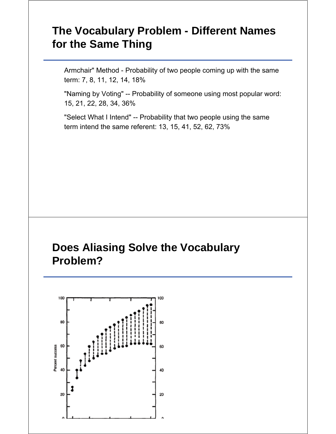# **The Vocabulary Problem - Different Names for the Same Thing**

Armchair" Method - Probability of two people coming up with the same term: 7, 8, 11, 12, 14, 18%

"Naming by Voting" -- Probability of someone using most popular word: 15, 21, 22, 28, 34, 36%

"Select What I Intend" -- Probability that two people using the same term intend the same referent: 13, 15, 41, 52, 62, 73%

## **Does Aliasing Solve the Vocabulary Problem?**

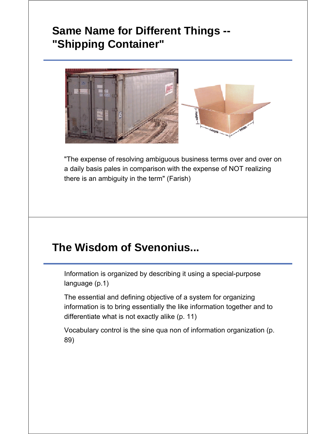# **Same Name for Different Things -- "Shipping Container"**



"The expense of resolving ambiguous business terms over and over on a daily basis pales in comparison with the expense of NOT realizing there is an ambiguity in the term" (Farish)

# **The Wisdom of Svenonius...**

Information is organized by describing it using a special-purpose language (p.1)

The essential and defining objective of a system for organizing information is to bring essentially the like information together and to differentiate what is not exactly alike (p. 11)

Vocabulary control is the sine qua non of information organization (p. 89)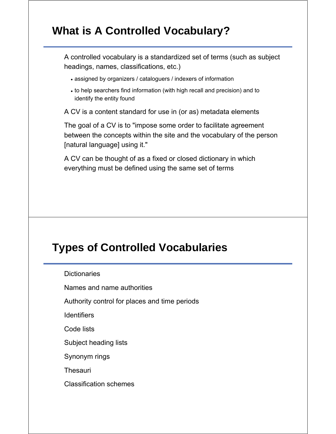# **What is A Controlled Vocabulary?**

A controlled vocabulary is a standardized set of terms (such as subject headings, names, classifications, etc.)

- assigned by organizers / cataloguers / indexers of information
- to help searchers find information (with high recall and precision) and to identify the entity found

A CV is a content standard for use in (or as) metadata elements

The goal of a CV is to "impose some order to facilitate agreement between the concepts within the site and the vocabulary of the person [natural language] using it."

A CV can be thought of as a fixed or closed dictionary in which everything must be defined using the same set of terms

# **Types of Controlled Vocabularies**

**Dictionaries** 

Names and name authorities

Authority control for places and time periods

**Identifiers** 

Code lists

Subject heading lists

Synonym rings

**Thesauri** 

Classification schemes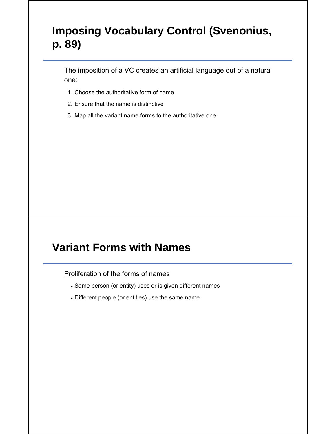# **Imposing Vocabulary Control (Svenonius, p. 89)**

The imposition of a VC creates an artificial language out of a natural one:

- 1. Choose the authoritative form of name
- 2. Ensure that the name is distinctive
- 3. Map all the variant name forms to the authoritative one

# **Variant Forms with Names**

Proliferation of the forms of names

- Same person (or entity) uses or is given different names
- Different people (or entities) use the same name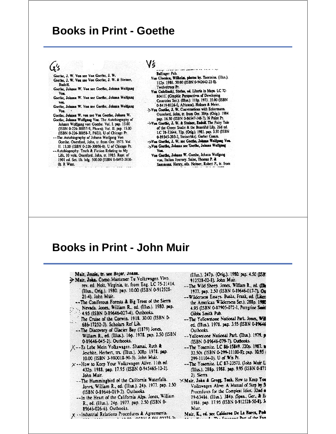### **Books in Print - Goethe**

#### Gs

- Goethe, J. W. Von see Von Goethe, J. W. Goethe, J. W. Von see Von Goethe, J. W. & Steiner, Rudolf.
- Goethe, Johann W. Von see Goethe, Johann Wolfgang Voe
- Goethe. Johann W. Von see Goethe, Johann Wolfgang
- Goethe, Johnan W. Von see Goethe, Johnna Wolfgang Von.
- Goethe, Johann W. von see Von Goethe, Johann W. Goethe, Johann Wolfgang Von. The Autobiography of Johann Wolfgang von Goethe. Vol. 1. pap. 15.00 (ISBN 0-226-30057-9, Phoen); Vol. II. pap. 15.00 (ISBN 0-226-30058-7, P603). U of Chicago Pr.
- -- The Autobiography of Johann Wolfgang Von Goethe. Oxenford, John, tr. from Ger. 1975. Vol. II. 15.00 (ISBN 0-226-30056-0). U of Chicago Pr. -- Autobiography: Truth & Fiction Relating to My Life, 10 vols. Oxenford, John, tr. 1985. Repr. of

1901 ed. Set. lib. bdg. 500.00 (ISBN 0-8492-2836-0). R West.

#### Vś

Ballinger Pub.

- Von Gloeden, Wilhelm, photos by. Taormina. (Illus.). 112p. 1986. 50.00 (ISBN 0-942642-22-8). Twelvetrees Pr.
- Von Gnielinski, Stefan, ed. Liberia in Maps. LC 72-80411. (Graphic Perspectives of Develop Countries Ser.). (Illus.). 111p. 1973. 35.00 (ISBN 0-8419-0126-0, Africana). Holmes & Meier.
- >Von Goethe, J. W. Conversations with Eckermann Oxenford, John, tr. from Ger. 384p. (Orig.). 1984. pap. 16.50 (ISBN 0-86547-148-7). N Point Pr.
- >Von Goethe, J. W. & Steiner, Rudolf. The Fairy Tale of the Green Snake & the Beautiful Lily. 2nd ed. LC 78-73644. 72p. (Orig.). 1981. pap. 3.50 (ISBN
- 0-89345-203-3, Steinerbks). Garber Comm. >Von Goethe, J. W. see Goethe, Johann Wolfgang Von.
- >Von Goethe, Johann see Goethe, Johann Wolfgang Von.
	- Von Goethe, Johann W. Goethe, Johann Wolfgang von, Italian Journey. Saine, Thomas P. & Sammons, Henry, eds. Heitner, Robert P., tr. from

### **Books in Print - John Muir**

Mair, Jessie, tr. see Bojar, Johan.

- > Mair, John. Como Mantener Tu Volkswagen Vivo. rev. ed. Holt, Virginia, tr. from Eng. LC 75-21414. (Illus., Orig.). 1980. pep. 10.00 (ISBN 0-912528-21-4). John Muir.
	- -- The Coniferous Forests & Big Trees of the Sierra Nevada Jones, William R. ed. (Illus.). 1980. pap.
	- 4.95 (ISBN 0-89646-027-4). Outbooks.
	- The Cruise of the Corwin. 1918. 30.00 (ISBN 0-686-17252-3). Scholars Ref Lib.
	- -- The Discovery of Glacier Bay (1879) Jones, William R., ed. (Illus.). 16p. 1978. pap. 2.50 (ISBN 0-89646-045-2). Outbooks.
- X--Es Lebe Mein Volkswagen. Shamai, Ruth & Jeschke, Herbert, trs. (Illus.). 308p. 1978. pap. 10.00 (ISBN 3-980018-90-3). John Muir.
- X-How to Keep Your Volkswagen Alive. 11th ed. 432p. 1988. pap. 17.95 (ISBN 0-945465-12-2). John Muir.
- -- The Hummingbird of the California Waterfalls. Jones, William R., ed. (Illus.). 24p. 1977. pap. 2.50 (ISBN 0-89646-019-3). Outbooks.
- -- In the Heart of the California Alps. Jones, William R., ed. (illus.). 24p. 1977. pap. 2.50 (ISBN 0-89646-026-6). Outbooks.
- x -- Industrial Relations Procedures & Agreements. AAA HOBH A EEL 01175.21

(Illus.). 247p. (Orig.). 1980. pap. 4.50 (ISB) 912528-02-8). John Muir.

- -- The Wild Sheep Jones, William R., ed. (Illu 1977. pap. 2.50 (ISBN 0-89646-017-7). Ou
- -- Wilderness Essays. Buske, Frank, ed. (Litera the American Wilderness Ser.). 288p. 1980 4.95 (ISBN 0-87905-072-1, Peregrine Smith Gibbs Smith Pub.
- -- The Yellowstone National Park. Jones, Will ed. (Illus.). 1978. pap. 3.95 (ISBN 0-89646 Outbooks
- -- Yellowstone National Park (Illus.). 1979. p (ISBN 0-89646-079-7). Outbooks.
- -- The Yosemite. LC 86-15849. 320p. 1987. m 32.50x (ISBN 0-299-11100-8); pap. 10.95 | 299-11104-0). U of Wis Pr.
- -The Yosemite. LC 87-23573. (John Muir Li (Illus.). 288p. 1988. pap. 9.95 (ISBN 0-871 2). Sierra.
- XMair, John & Gregg, Took. How to Keep You Volkswagen Alive: A Manual of Step by S Procedures for the Complext Idiot. 32nd a 79-63486. (Illus.). 384p. (Span., Ger., & E. 1986. pap. 17.95 (ISBN 0-912528-50-8). Je Mur.
	- Muir, K., ed. see Calderon De La Barca, Pedi The Connect Part of the Fast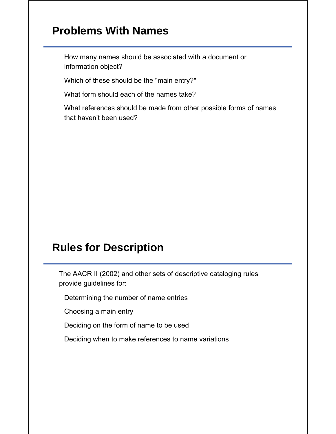## **Problems With Names**

How many names should be associated with a document or information object?

Which of these should be the "main entry?"

What form should each of the names take?

What references should be made from other possible forms of names that haven't been used?

## **Rules for Description**

The AACR II (2002) and other sets of descriptive cataloging rules provide guidelines for:

Determining the number of name entries

Choosing a main entry

Deciding on the form of name to be used

Deciding when to make references to name variations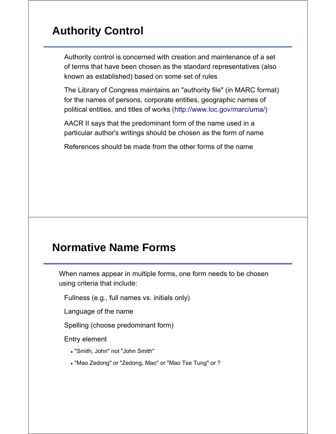# **Authority Control**

Authority control is concerned with creation and maintenance of a set of terms that have been chosen as the standard representatives (also known as established) based on some set of rules

The Library of Congress maintains an "authority file" (in MARC format) for the names of persons, corporate entities, geographic names of political entities, and titles of works (http://www.loc.gov/marc/uma/)

AACR II says that the predominant form of the name used in a particular author's writings should be chosen as the form of name

References should be made from the other forms of the name

## **Normative Name Forms**

When names appear in multiple forms, one form needs to be chosen using criteria that include:

Fullness (e.g., full names vs. initials only)

Language of the name

Spelling (choose predominant form)

Entry element

- "Smith, John" not "John Smith"
- "Mao Zedong" or "Zedong, Mao" or "Mao Tse Tung" or ?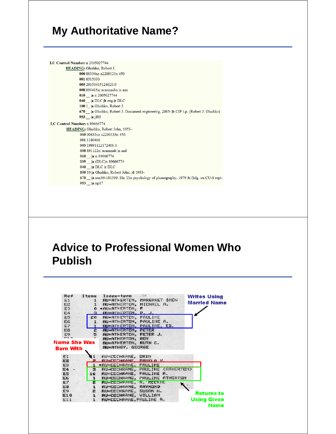# **My Authoritative Name?**

```
LC Control Number: n 2005027744
         HEADING: Glushko, Robert J.
                 000 00336nz a2200121n 450
                001 6515030
                005 20050415124620.0
                 008 050415n acannaabn |n|aaa
                010 = |a n 2005027744
                040 _ |a DLC |b eng |c DLC
                100 1 |a Glushko, Robert J.
                 670 _ |a Glushko, Robert J. Document engineering, 2005: |b CIP t.p. (Robert J. Glushko)
                953 _ |a jf05
LC Control Number: n 89666774
         HEADING: Glushko, Robert John, 1953-
                 000 00431nz a2200133n 450
                 001 1180466
                 005 19891122172408.0
                 008 891122n| acannaab |n aad
                 010 | a n 89666774
                 035 __ |a (DLC)n 89666774
                 040 | a DLC | c DLC
                 100 10 |a Glushko, Robert John, |d 1953-
                 670 _ |a nuc89-101599: His The psychology of phonography, 1979 |b (hdg. on CU-S rept.:
                 953 _ |a np17
```
# **Advice to Professional Women Who Publish**

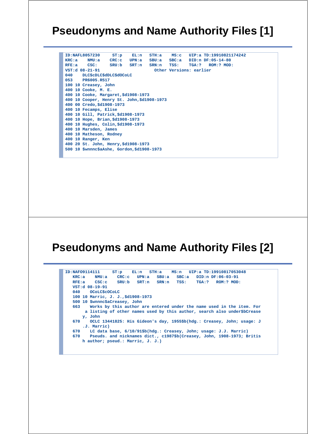# **Pseudonyms and Name Authority Files [1]**

|        | $ID:NAFL8057230$ $ST:p$ $EL:n$              |                   |  |                         |                                         | STH:a MS:c UIP:a TD:19910821174242 |  |
|--------|---------------------------------------------|-------------------|--|-------------------------|-----------------------------------------|------------------------------------|--|
| KRC: a |                                             | NMU:a CRC:c UPN:a |  |                         | $SBU: a$ $SBC: a$ $DID: n DF: 05-14-80$ |                                    |  |
|        | RFE:a CSC: SRU:b SRT:n                      |                   |  | $SRN:n$ $TSS:$          | TGA:? ROM:? MOD:                        |                                    |  |
|        | $VST:d$ 08-21-91                            |                   |  | Other Versions: earlier |                                         |                                    |  |
| 040    | DLC\$cDLC\$dDLC\$dOCoLC                     |                   |  |                         |                                         |                                    |  |
|        | 053 PR6005.R517                             |                   |  |                         |                                         |                                    |  |
|        | 100 10 Creasey, John                        |                   |  |                         |                                         |                                    |  |
|        | 400 10 Cooke, M. E.                         |                   |  |                         |                                         |                                    |  |
|        | 400 10 Cooke, Margaret, \$d1908-1973        |                   |  |                         |                                         |                                    |  |
|        | 400 10 Cooper, Henry St. John, \$d1908-1973 |                   |  |                         |                                         |                                    |  |
|        | 400 00 Credo, \$d1908-1973                  |                   |  |                         |                                         |                                    |  |
|        | 400 10 Fecamps, Elise                       |                   |  |                         |                                         |                                    |  |
|        | 400 10 Gill, Patrick, \$d1908-1973          |                   |  |                         |                                         |                                    |  |
|        | 400 10 Hope, Brian, \$d1908-1973            |                   |  |                         |                                         |                                    |  |
|        | 400 10 Hughes, Colin, \$d1908-1973          |                   |  |                         |                                         |                                    |  |
|        | 400 10 Marsden, James                       |                   |  |                         |                                         |                                    |  |
|        | 400 10 Matheson, Rodney                     |                   |  |                         |                                         |                                    |  |
|        | 400 10 Ranger, Ken                          |                   |  |                         |                                         |                                    |  |
|        | 400 20 St. John, Henry, \$d1908-1973        |                   |  |                         |                                         |                                    |  |
|        | 500 10 \$wnnnc\$aAshe, Gordon, \$d1908-1973 |                   |  |                         |                                         |                                    |  |
|        |                                             |                   |  |                         |                                         |                                    |  |

# **Pseudonyms and Name Authority Files [2]**

| ID:NAF09114111                                                                | ST: p                                                                    |               |        |  | EL:n STH:a MS:n UIP:a TD:19910817053048 |  |  |
|-------------------------------------------------------------------------------|--------------------------------------------------------------------------|---------------|--------|--|-----------------------------------------|--|--|
| NMU:a<br>KRC: a                                                               | $CRC:$ $c$<br>UPN:a                                                      | ${\tt SBU:a}$ | SBC: a |  | DID:n DF:06-03-91                       |  |  |
| RFE:a CSC:c SRU:b SRT:n SRN:n TSS: TGA:? ROM:? MOD:                           |                                                                          |               |        |  |                                         |  |  |
| VST:d 08-19-91                                                                |                                                                          |               |        |  |                                         |  |  |
| <b>OCOLCSCOCOLC</b><br>040                                                    |                                                                          |               |        |  |                                         |  |  |
| 100 10 Marric, J. J., \$d1908-1973                                            |                                                                          |               |        |  |                                         |  |  |
| 500 10 \$wnnnc\$aCreasey, John                                                |                                                                          |               |        |  |                                         |  |  |
| 663<br>Works by this author are entered under the name used in the item. For  |                                                                          |               |        |  |                                         |  |  |
|                                                                               | a listing of other names used by this author, search also under\$bCrease |               |        |  |                                         |  |  |
| v. John                                                                       |                                                                          |               |        |  |                                         |  |  |
| 670<br>OCLC 13441825: His Gideon's day, 1955\$b(hdg.: Creasey, John; usage: J |                                                                          |               |        |  |                                         |  |  |
| .J. Marric)                                                                   |                                                                          |               |        |  |                                         |  |  |
| 670                                                                           | LC data base, 6/10/91\$b(hdg.: Creasey, John; usage: J.J. Marric)        |               |        |  |                                         |  |  |
| 670                                                                           | Pseuds. and nicknames dict., c1987\$b(Creasey, John, 1908-1973; Britis   |               |        |  |                                         |  |  |
|                                                                               | h author; pseud.: Marric, J. J.)                                         |               |        |  |                                         |  |  |
|                                                                               |                                                                          |               |        |  |                                         |  |  |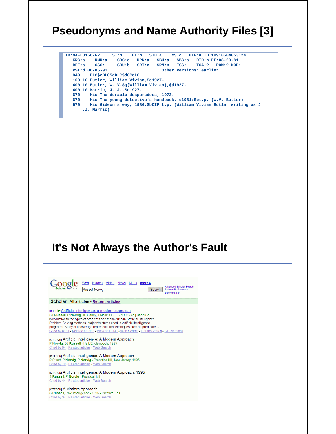## **Pseudonyms and Name Authority Files [3]**

**ID:NAFL8166762 ST:p EL:n STH:a MS:c UIP:a TD:19910604053124 KRC:a NMU:a CRC:c UPN:a SBU:a SBC:a DID:n DF:08-20-81 RFE:a CSC: SRU:b SRT:n SRN:n TSS: TGA:? ROM:? MOD: VST:d 06-06-91 Other Versions: earlier 040 DLC\$cDLC\$dDLC\$dOCoLC 100 10 Butler, William Vivian,\$d1927- 400 10 Butler, W. V.\$q(William Vivian),\$d1927- 400 10 Marric, J. J.,\$d1927- 670 His The durable desperadoes, 1973. 670 His The young detective's handbook, c1981:\$bt.p. (W.V. Butler) 670 His Gideon's way, 1986:\$bCIP t.p. (William Vivian Butler writing as J .J. Marric)**

## **It's Not Always the Author's Fault**

|                                                                                    | Images<br>Video News Maps<br>Web<br>more »<br>Advanced Scholar Search<br><b>Russell Norvia</b><br>Search<br><b>Scholar Preferences</b><br>Scholar Help                                                                                                                                                                                                                                                                                                                                                                                                                                                                                                  |
|------------------------------------------------------------------------------------|---------------------------------------------------------------------------------------------------------------------------------------------------------------------------------------------------------------------------------------------------------------------------------------------------------------------------------------------------------------------------------------------------------------------------------------------------------------------------------------------------------------------------------------------------------------------------------------------------------------------------------------------------------|
|                                                                                    | Scholar All articles - Recent articles                                                                                                                                                                                                                                                                                                                                                                                                                                                                                                                                                                                                                  |
| Cited by 94 - Related articles - Web Search                                        | <sub>[Doc]</sub> ► Artificial intelligence: a modern approach<br>SJ Russell, P Norvig, JF Canny, J Malik, DD  - 1995 - cs.just.edu.jo<br>Introduction to the types of problems and techniques in Artificial Intelligence.<br>Problem-Solving methods, Major structures used in Artificial Intelligence<br>programs. Study of knowledge representation techniques such as predicate<br>Cited by 8181 - Related articles - View as HTML - Web Search - Library Search - All 8 versions<br>[сітатіон] Artificial Intelligence: A Modern Approach<br>P Norvig, SJ Russell - Hall, Englewoods, 1995<br>[сітатіон] Artificial Intelligence: A Modern Approach |
| Cited by 79 - Related articles - Web Search                                        | R Stuart, P Norvig, P Norvig - Prenctice Hill, New Jersey, 1995                                                                                                                                                                                                                                                                                                                                                                                                                                                                                                                                                                                         |
| S Russell, P Norvig - Prentice Hall<br>Cited by 44 - Related articles - Web Search | [сітатіон] Artificial Intelligence: A Modern Approach. 1995                                                                                                                                                                                                                                                                                                                                                                                                                                                                                                                                                                                             |
| [СІТАТІОН] A Modern Approach<br>Cited by 37 - Related articles - Web Search        | S Russell, PNA Intelligence - 1995 - Prentice Hall                                                                                                                                                                                                                                                                                                                                                                                                                                                                                                                                                                                                      |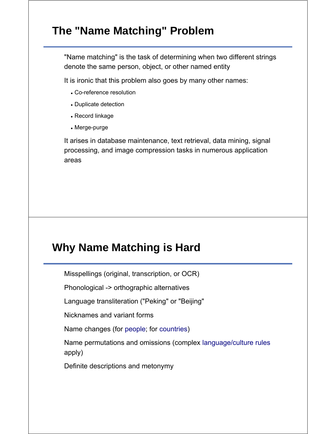# **The "Name Matching" Problem**

"Name matching" is the task of determining when two different strings denote the same person, object, or other named entity

It is ironic that this problem also goes by many other names:

- Co-reference resolution
- Duplicate detection
- Record linkage
- Merge-purge

It arises in database maintenance, text retrieval, data mining, signal processing, and image compression tasks in numerous application areas

# **Why Name Matching is Hard**

Misspellings (original, transcription, or OCR)

Phonological -> orthographic alternatives

Language transliteration ("Peking" or "Beijing"

Nicknames and variant forms

Name changes (for people; for countries)

Name permutations and omissions (complex language/culture rules apply)

Definite descriptions and metonymy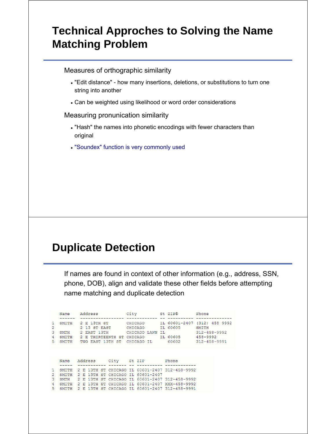# **Technical Approches to Solving the Name Matching Problem**

#### Measures of orthographic similarity

- "Edit distance" how many insertions, deletions, or substitutions to turn one string into another
- Can be weighted using likelihood or word order considerations

#### Measuring pronunication similarity

- "Hash" the names into phonetic encodings with fewer characters than original
- "Soundex" function is very commonly used

## **Duplicate Detection**

If names are found in context of other information (e.g., address, SSN, phone, DOB), align and validate these other fields before attempting name matching and duplicate detection

|                   | Name                                                                 | Address                                                                                                                                                                                    | City                                                        | Phone<br>St ZIP®                                                                                                                      |  |
|-------------------|----------------------------------------------------------------------|--------------------------------------------------------------------------------------------------------------------------------------------------------------------------------------------|-------------------------------------------------------------|---------------------------------------------------------------------------------------------------------------------------------------|--|
| 2<br>3<br>4<br>5. | <b>SMITH</b><br>SMTH<br>SMITH<br><b>SMITH</b>                        | 2 E 13TH ST<br>2 13 ST EAST<br>2 EAST 13TH<br>2 E THIRTEENTH ST CHICAGO<br>TWO EAST 13TH ST                                                                                                | CHICAGO<br>CHICAGO<br>CHICAGO LAWN IL<br>CHICAGO IL         | IL 60601-2407 (312) 458 9992<br>IL 60605<br><b>SMITH</b><br>$312 - 458 - 9992$<br>458-9992<br>IL 60605<br>$312 - 458 - 9991$<br>60602 |  |
|                   | Name                                                                 | Address                                                                                                                                                                                    | City St ZIP                                                 | Phone                                                                                                                                 |  |
| 2<br>3<br>4<br>5  | <b>SMITH</b><br><b>SMITH</b><br>SMTH<br><b>SMITH</b><br><b>SMTTH</b> | 2 E 13TH ST CHICAGO IL 60601-2407 312-458-9992<br>13TH ST<br>2 E<br>1.3TH<br>ST<br>2 F<br>2 E 13TH ST CHICAGO IL 60601-2407 XXX-458-9992<br>2 E 13TH ST CHICAGO IL 60601-2407 312-458-9991 | CHICAGO IL 60601-2407<br>CHICAGO IL 60601-2407 312-458-9992 |                                                                                                                                       |  |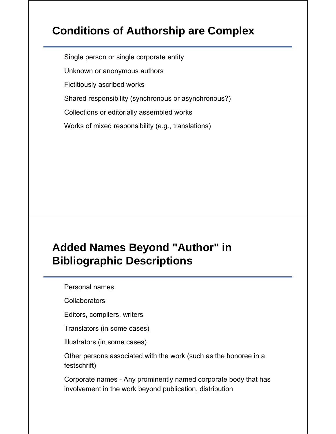# **Conditions of Authorship are Complex**

Single person or single corporate entity

Unknown or anonymous authors

Fictitiously ascribed works

Shared responsibility (synchronous or asynchronous?)

Collections or editorially assembled works

Works of mixed responsibility (e.g., translations)

# **Added Names Beyond "Author" in Bibliographic Descriptions**

Personal names

**Collaborators** 

Editors, compilers, writers

Translators (in some cases)

Illustrators (in some cases)

Other persons associated with the work (such as the honoree in a festschrift)

Corporate names - Any prominently named corporate body that has involvement in the work beyond publication, distribution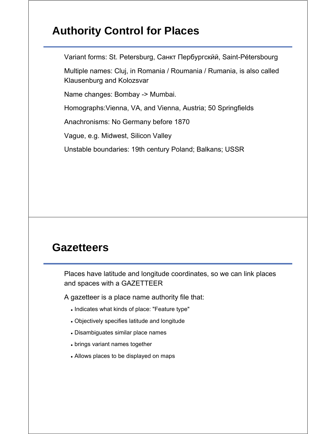# **Authority Control for Places**

Variant forms: St. Petersburg, Санкт Пербургскйй, Saint-Pétersbourg

Multiple names: Cluj, in Romania / Roumania / Rumania, is also called Klausenburg and Kolozsvar

Name changes: Bombay -> Mumbai.

Homographs:Vienna, VA, and Vienna, Austria; 50 Springfields

Anachronisms: No Germany before 1870

Vague, e.g. Midwest, Silicon Valley

Unstable boundaries: 19th century Poland; Balkans; USSR

## **Gazetteers**

Places have latitude and longitude coordinates, so we can link places and spaces with a GAZETTEER

A gazetteer is a place name authority file that:

- Indicates what kinds of place: "Feature type"
- Objectively specifies latitude and longitude
- Disambiguates similar place names
- brings variant names together
- Allows places to be displayed on maps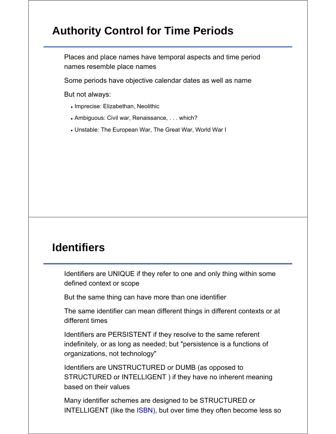# **Authority Control for Time Periods**

Places and place names have temporal aspects and time period names resemble place names

Some periods have objective calendar dates as well as name

But not always:

- Imprecise: Elizabethan, Neolithic
- Ambiguous: Civil war, Renaissance, . . . which?
- Unstable: The European War, The Great War, World War I

### **Identifiers**

Identifiers are UNIQUE if they refer to one and only thing within some defined context or scope

But the same thing can have more than one identifier

The same identifier can mean different things in different contexts or at different times

Identifiers are PERSISTENT if they resolve to the same referent indefinitely, or as long as needed; but "persistence is a functions of organizations, not technology"

Identifiers are UNSTRUCTURED or DUMB (as opposed to STRUCTURED or INTELLIGENT ) if they have no inherent meaning based on their values

Many identifier schemes are designed to be STRUCTURED or INTELLIGENT (like the ISBN), but over time they often become less so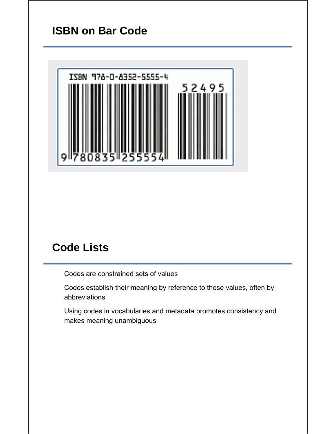# **ISBN on Bar Code**



# **Code Lists**

Codes are constrained sets of values

Codes establish their meaning by reference to those values, often by abbreviations

Using codes in vocabularies and metadata promotes consistency and makes meaning unambiguous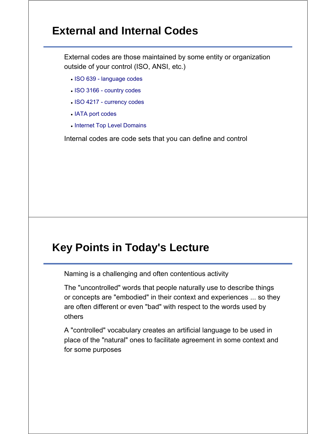# **External and Internal Codes**

External codes are those maintained by some entity or organization outside of your control (ISO, ANSI, etc.)

- ISO 639 language codes
- ISO 3166 country codes
- ISO 4217 currency codes
- IATA port codes
- Internet Top Level Domains

Internal codes are code sets that you can define and control

## **Key Points in Today's Lecture**

Naming is a challenging and often contentious activity

The "uncontrolled" words that people naturally use to describe things or concepts are "embodied" in their context and experiences ... so they are often different or even "bad" with respect to the words used by others

A "controlled" vocabulary creates an artificial language to be used in place of the "natural" ones to facilitate agreement in some context and for some purposes